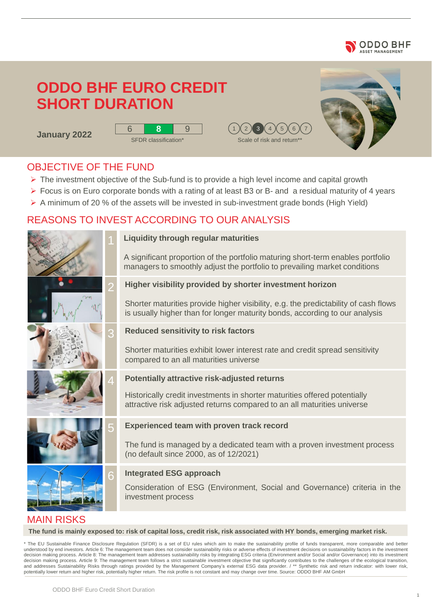

# **ODDO BHF EURO CREDIT SHORT DURATION**

**January 2022**







### OBJECTIVE OF THE FUND

- ➢ The investment objective of the Sub-fund is to provide a high level income and capital growth
- ➢ Focus is on Euro corporate bonds with a rating of at least B3 or B- and a residual maturity of 4 years
- $\triangleright$  A minimum of 20 % of the assets will be invested in sub-investment grade bonds (High Yield)

### REASONS TO INVEST ACCORDING TO OUR ANALYSIS





### **Liquidity through regular maturities**

A significant proportion of the portfolio maturing short-term enables portfolio managers to smoothly adjust the portfolio to prevailing market conditions

**Higher visibility provided by shorter investment horizon**

Shorter maturities provide higher visibility, e.g. the predictability of cash flows is usually higher than for longer maturity bonds, according to our analysis

#### **Reduced sensitivity to risk factors**

Shorter maturities exhibit lower interest rate and credit spread sensitivity compared to an all maturities universe

#### **Potentially attractive risk-adjusted returns**

Historically credit investments in shorter maturities offered potentially attractive risk adjusted returns compared to an all maturities universe

#### **Experienced team with proven track record**

The fund is managed by a dedicated team with a proven investment process (no default since 2000, as of 12/2021)

#### **Integrated ESG approach**

Consideration of ESG (Environment, Social and Governance) criteria in the investment process

### MAIN RISKS

**The fund is mainly exposed to: risk of capital loss, credit risk, risk associated with HY bonds, emerging market risk.** 

The EU Sustainable Finance Disclosure Regulation (SFDR) is a set of EU rules which aim to make the sustainability profile of funds transparent, more comparable and better understood by end investors. Article 6: The management team does not consider sustainability risks or adverse effects of investment decisions on sustainability factors in the investment decision making process. Article 8: The management team addresses sustainability risks by integrating ESG criteria (Environment and/or Social and/or Governance) into its investment decision making process. Article 9: The management team follows a strict sustainable investment objective that significantly contributes to the challenges of the ecological transition, and addresses Sustainability Risks through ratings provided by the Management Company's external ESG data provider. / \*\* Synthetic risk and return indicator: with lower risk, potentially lower return and higher risk, potentially higher return. The risk profile is not constant and may change over time. Source: ODDO BHF AM GmbH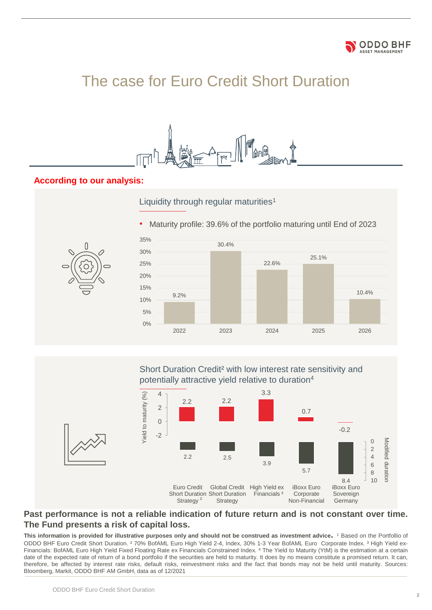

# The case for Euro Credit Short Duration



#### **According to our analysis:**



Short Duration Credit² with low interest rate sensitivity and potentially attractive yield relative to duration<sup>4</sup>



#### **Past performance is not a reliable indication of future return and is not constant over time. The Fund presents a risk of capital loss.**

This information is provided for illustrative purposes only and should not be construed as investment advice. <sup>1</sup> Based on the Portfollio of ODDO BHF Euro Credit Short Duration. ² 70% BofAML Euro High Yield 2-4, Index, 30% 1-3 Year BofAML Euro Corporate Index. ³ High Yield ex-Financials: BofAML Euro High Yield Fixed Floating Rate ex Financials Constrained Index. <sup>4</sup> The Yield to Maturity (YtM) is the estimation at a certain date of the expected rate of return of a bond portfolio if the securities are held to maturity. It does by no means constitute a promised return. It can, therefore, be affected by interest rate risks, default risks, reinvestment risks and the fact that bonds may not be held until maturity. Sources: Bloomberg, Markit, ODDO BHF AM GmbH, data as of 12/2021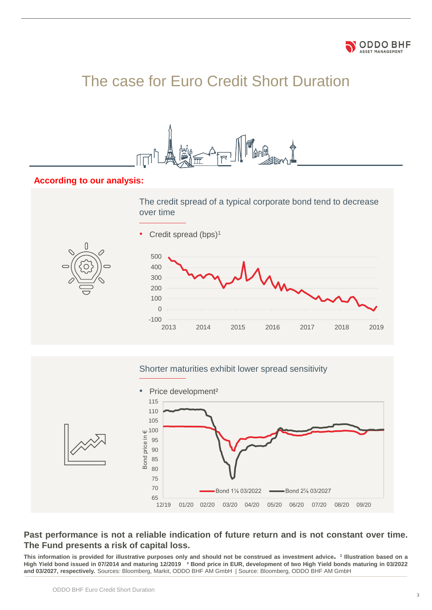

# The case for Euro Credit Short Duration



#### **According to our analysis:**



#### Shorter maturities exhibit lower spread sensitivity



#### **Past performance is not a reliable indication of future return and is not constant over time. The Fund presents a risk of capital loss.**

This information is provided for illustrative purposes only and should not be construed as investment advice.<sup>1</sup> Illustration based on a High Yield bond issued in 07/2014 and maturing 12/2019 <sup>2</sup> Bond price in EUR, development of two High Yield bonds maturing in 03/2022 **and 03/2027, respectively.** Sources: Bloomberg, Markit, ODDO BHF AM GmbH | Source: Bloomberg, ODDO BHF AM GmbH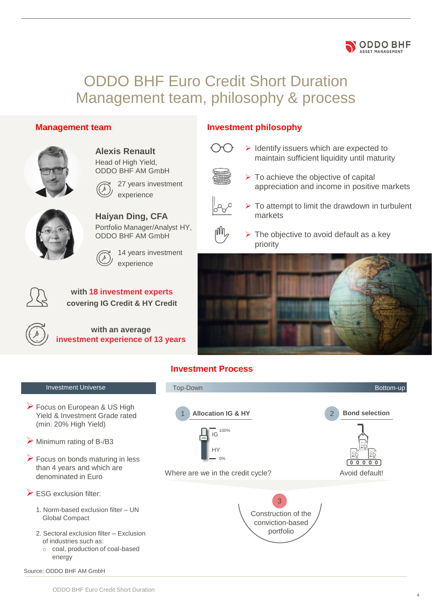# ODDO BHF Euro Credit Short Duration Management team, philosophy & process

#### **Management team**



**Alexis Renault** Head of High Yield, ODDO BHF AM GmbH



experience



**Haiyan Ding, CFA** Portfolio Manager/Analyst HY, ODDO BHF AM GmbH

27 years investment



14 years investment experience



**with 18 investment experts covering IG Credit & HY Credit**



**with an average investment experience of 13 years**

### **Investment philosophy**



➢ Identify issuers which are expected to maintain sufficient liquidity until maturity



 $\triangleright$  To achieve the objective of capital appreciation and income in positive markets

**ODDO BHF** ASSET MANAGEMEN



 $\triangleright$  To attempt to limit the drawdown in turbulent markets



 $\triangleright$  The objective to avoid default as a key priority



### **Investment Process**

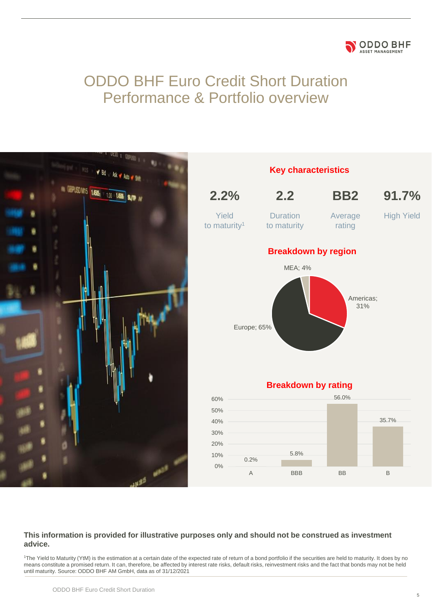#### **ODDO BHF** ASSET MANAGEMENT

## ODDO BHF Euro Credit Short Duration Performance & Portfolio overview



#### **This information is provided for illustrative purposes only and should not be construed as investment advice.**

<sup>1</sup>The Yield to Maturity (YtM) is the estimation at a certain date of the expected rate of return of a bond portfolio if the securities are held to maturity. It does by no means constitute a promised return. It can, therefore, be affected by interest rate risks, default risks, reinvestment risks and the fact that bonds may not be held until maturity. Source: ODDO BHF AM GmbH, data as of 31/12/2021